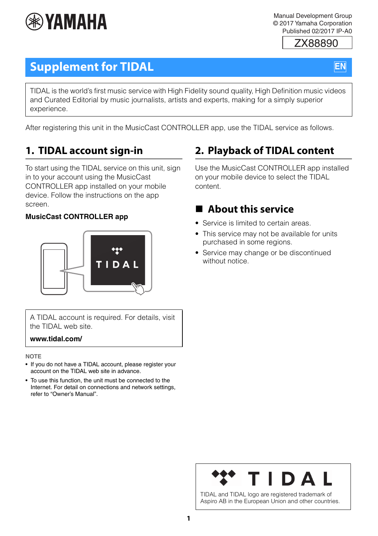

Manual Development Group © 2017 Yamaha Corporation Published 02/2017 IP-A0

ZX88890

### **EN**

## **Supplement for TIDAL**

TIDAL is the world's first music service with High Fidelity sound quality, High Definition music videos and Curated Editorial by music journalists, artists and experts, making for a simply superior experience.

After registering this unit in the MusicCast CONTROLLER app, use the TIDAL service as follows.

### **1. TIDAL account sign-in**

To start using the TIDAL service on this unit, sign in to your account using the MusicCast CONTROLLER app installed on your mobile device. Follow the instructions on the app screen.

#### **MusicCast CONTROLLER app**



A TIDAL account is required. For details, visit the TIDAL web site.

**www.tidal.com/**

**NOTE**

- If you do not have a TIDAL account, please register your account on the TIDAL web site in advance.
- To use this function, the unit must be connected to the Internet. For detail on connections and network settings, refer to "Owner's Manual".

### **2. Playback of TIDAL content**

Use the MusicCast CONTROLLER app installed on your mobile device to select the TIDAL content.

### **About this service**

- Service is limited to certain areas.
- This service may not be available for units purchased in some regions.
- Service may change or be discontinued without notice.

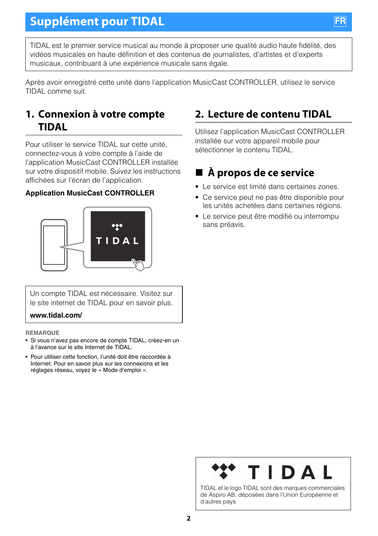TIDAL est le premier service musical au monde à proposer une qualité audio haute fidélité, des vidéos musicales en haute définition et des contenus de journalistes, d'artistes et d'experts musicaux, contribuant à une expérience musicale sans égale.

Après avoir enregistré cette unité dans l'application MusicCast CONTROLLER, utilisez le service TIDAL comme suit.

### **1. Connexion à votre compte TIDAL**

Pour utiliser le service TIDAL sur cette unité, connectez-vous à votre compte à l'aide de l'application MusicCast CONTROLLER installée sur votre dispositif mobile. Suivez les instructions affichées sur l'écran de l'application.

#### **Application MusicCast CONTROLLER**



Un compte TIDAL est nécessaire. Visitez sur le site internet de TIDAL pour en savoir plus.

#### **www.tidal.com/**

**REMARQUE**

- Si vous n'avez pas encore de compte TIDAL, créez-en un à l'avance sur le site Internet de TIDAL.
- Pour utiliser cette fonction, l'unité doit être raccordée à Internet. Pour en savoir plus sur les connexions et les réglages réseau, voyez le « Mode d'emploi ».

### **2. Lecture de contenu TIDAL**

Utilisez l'application MusicCast CONTROLLER installée sur votre appareil mobile pour sélectionner le contenu TIDAL.

### **À propos de ce service**

- Le service est limité dans certaines zones.
- Ce service peut ne pas être disponible pour les unités achetées dans certaines régions.
- Le service peut être modifié ou interrompu sans préavis.



TIDAL et le logo TIDAL sont des marques commerciales de Aspiro AB, déposées dans l'Union Européenne et d'autres pays.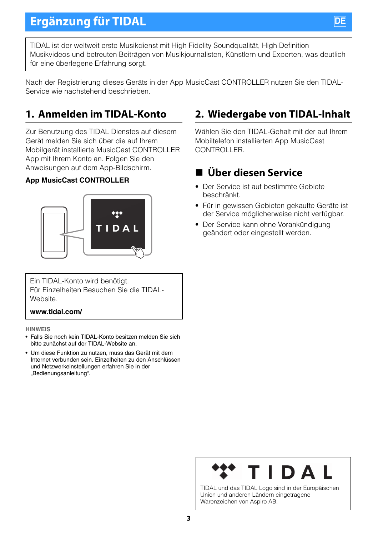TIDAL ist der weltweit erste Musikdienst mit High Fidelity Soundqualität, High Definition Musikvideos und betreuten Beiträgen von Musikjournalisten, Künstlern und Experten, was deutlich für eine überlegene Erfahrung sorgt.

Nach der Registrierung dieses Geräts in der App MusicCast CONTROLLER nutzen Sie den TIDAL-Service wie nachstehend beschrieben.

### **1. Anmelden im TIDAL-Konto**

Zur Benutzung des TIDAL Dienstes auf diesem Gerät melden Sie sich über die auf Ihrem Mobilgerät installierte MusicCast CONTROLLER App mit Ihrem Konto an. Folgen Sie den Anweisungen auf dem App-Bildschirm.

#### **App MusicCast CONTROLLER**



Ein TIDAL-Konto wird benötigt. Für Einzelheiten Besuchen Sie die TIDAL-**Website** 

#### **www.tidal.com/**

#### **HINWEIS**

- Falls Sie noch kein TIDAL-Konto besitzen melden Sie sich bitte zunächst auf der TIDAL-Website an.
- Um diese Funktion zu nutzen, muss das Gerät mit dem Internet verbunden sein. Einzelheiten zu den Anschlüssen und Netzwerkeinstellungen erfahren Sie in der "Bedienungsanleitung".

### **2. Wiedergabe von TIDAL-Inhalt**

Wählen Sie den TIDAL-Gehalt mit der auf Ihrem Mobiltelefon installierten App MusicCast CONTROLLER.

### **Über diesen Service**

- Der Service ist auf bestimmte Gebiete beschränkt.
- Für in gewissen Gebieten gekaufte Geräte ist der Service möglicherweise nicht verfügbar.
- Der Service kann ohne Vorankündigung geändert oder eingestellt werden.

TIDAL und das TIDAL Logo sind in der Europäischen Union und anderen Ländern eingetragene Warenzeichen von Aspiro AB.

**3**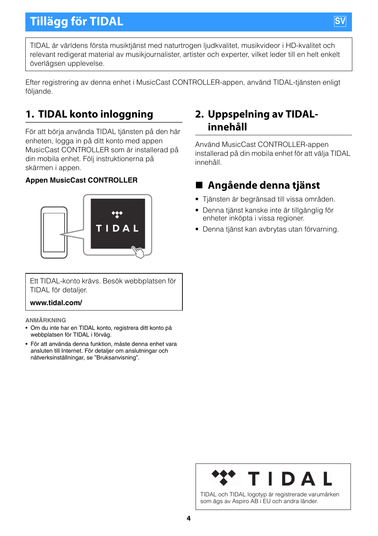TIDAL är världens första musiktjänst med naturtrogen ljudkvalitet, musikvideor i HD-kvalitet och relevant redigerat material av musikjournalister, artister och experter, vilket leder till en helt enkelt överlägsen upplevelse.

Efter registrering av denna enhet i MusicCast CONTROLLER-appen, använd TIDAL-tjänsten enligt följande.

### **1. TIDAL konto inloggning**

För att börja använda TIDAL tjänsten på den här enheten, logga in på ditt konto med appen MusicCast CONTROLLER som är installerad på din mobila enhet. Följ instruktionerna på skärmen i appen.

#### **Appen MusicCast CONTROLLER**



Ett TIDAL-konto krävs. Besök webbplatsen för TIDAL för detaljer.

#### **www.tidal.com/**

#### **ANMÄRKNING**

- Om du inte har en TIDAL konto, registrera ditt konto på webbplatsen för TIDAL i förväg.
- För att använda denna funktion, måste denna enhet vara ansluten till Internet. För detaljer om anslutningar och nätverksinställningar, se "Bruksanvisning".

### **2. Uppspelning av TIDALinnehåll**

Använd MusicCast CONTROLLER-appen installerad på din mobila enhet för att välja TIDAL innehåll.

### **Angående denna tjänst**

- Tjänsten är begränsad till vissa områden.
- Denna tjänst kanske inte är tillgänglig för enheter inköpta i vissa regioner.
- Denna tjänst kan avbrytas utan förvarning.

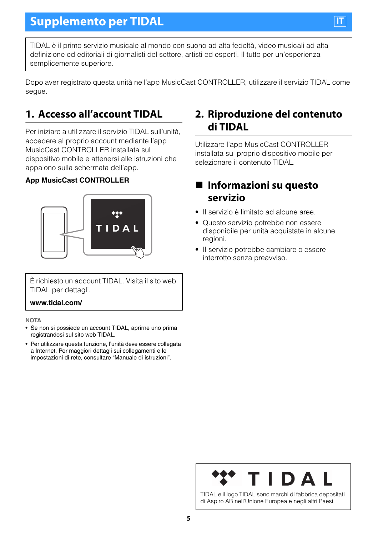TIDAL è il primo servizio musicale al mondo con suono ad alta fedeltà, video musicali ad alta definizione ed editoriali di giornalisti del settore, artisti ed esperti. Il tutto per un'esperienza semplicemente superiore.

Dopo aver registrato questa unità nell'app MusicCast CONTROLLER, utilizzare il servizio TIDAL come segue.

### **1. Accesso all'account TIDAL**

Per iniziare a utilizzare il servizio TIDAL sull'unità, accedere al proprio account mediante l'app MusicCast CONTROLLER installata sul dispositivo mobile e attenersi alle istruzioni che appaiono sulla schermata dell'app.

#### **App MusicCast CONTROLLER**



È richiesto un account TIDAL. Visita il sito web TIDAL per dettagli.

#### **www.tidal.com/**

#### **NOTA**

- Se non si possiede un account TIDAL, aprirne uno prima registrandosi sul sito web TIDAL.
- Per utilizzare questa funzione, l'unità deve essere collegata a Internet. Per maggiori dettagli sui collegamenti e le impostazioni di rete, consultare "Manuale di istruzioni".

### **2. Riproduzione del contenuto di TIDAL**

Utilizzare l'app MusicCast CONTROLLER installata sul proprio dispositivo mobile per selezionare il contenuto TIDAL.

### **Informazioni su questo servizio**

- Il servizio è limitato ad alcune aree.
- Questo servizio potrebbe non essere disponibile per unità acquistate in alcune regioni.
- Il servizio potrebbe cambiare o essere interrotto senza preavviso.



**IT**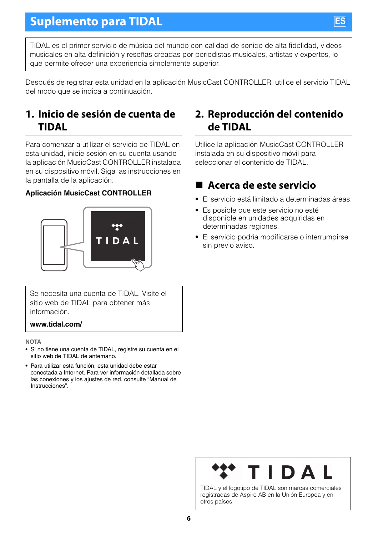TIDAL es el primer servicio de música del mundo con calidad de sonido de alta fidelidad, videos musicales en alta definición y reseñas creadas por periodistas musicales, artistas y expertos, lo que permite ofrecer una experiencia simplemente superior.

Después de registrar esta unidad en la aplicación MusicCast CONTROLLER, utilice el servicio TIDAL del modo que se indica a continuación.

### **1. Inicio de sesión de cuenta de TIDAL**

Para comenzar a utilizar el servicio de TIDAL en esta unidad, inicie sesión en su cuenta usando la aplicación MusicCast CONTROLLER instalada en su dispositivo móvil. Siga las instrucciones en la pantalla de la aplicación.

#### **Aplicación MusicCast CONTROLLER**



Se necesita una cuenta de TIDAL. Visite el sitio web de TIDAL para obtener más información.

#### **www.tidal.com/**

#### **NOTA**

- Si no tiene una cuenta de TIDAL, registre su cuenta en el sitio web de TIDAL de antemano.
- Para utilizar esta función, esta unidad debe estar conectada a Internet. Para ver información detallada sobre las conexiones y los ajustes de red, consulte "Manual de Instrucciones".

### **2. Reproducción del contenido de TIDAL**

Utilice la aplicación MusicCast CONTROLLER instalada en su dispositivo móvil para seleccionar el contenido de TIDAL.

### **Acerca de este servicio**

- El servicio está limitado a determinadas áreas.
- Es posible que este servicio no esté disponible en unidades adquiridas en determinadas regiones.
- El servicio podría modificarse o interrumpirse sin previo aviso.



TIDAL y el logotipo de TIDAL son marcas comerciales registradas de Aspiro AB en la Unión Europea y en otros países.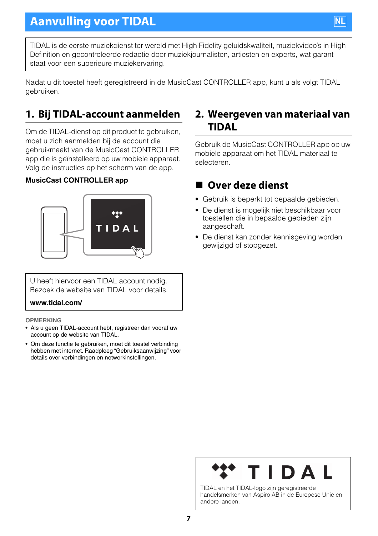TIDAL is de eerste muziekdienst ter wereld met High Fidelity geluidskwaliteit, muziekvideo's in High Definition en gecontroleerde redactie door muziekjournalisten, artiesten en experts, wat garant staat voor een superieure muziekervaring.

Nadat u dit toestel heeft geregistreerd in de MusicCast CONTROLLER app, kunt u als volgt TIDAL gebruiken.

### **1. Bij TIDAL-account aanmelden**

Om de TIDAL-dienst op dit product te gebruiken, moet u zich aanmelden bij de account die gebruikmaakt van de MusicCast CONTROLLER app die is geïnstalleerd op uw mobiele apparaat. Volg de instructies op het scherm van de app.

#### **MusicCast CONTROLLER app**



U heeft hiervoor een TIDAL account nodig. Bezoek de website van TIDAL voor details.

#### **www.tidal.com/**

#### **OPMERKING**

- Als u geen TIDAL-account hebt, registreer dan vooraf uw account op de website van TIDAL.
- Om deze functie te gebruiken, moet dit toestel verbinding hebben met internet. Raadpleeg "Gebruiksaanwijzing" voor details over verbindingen en netwerkinstellingen.

#### **2. Weergeven van materiaal van TIDAL**

Gebruik de MusicCast CONTROLLER app op uw mobiele apparaat om het TIDAL materiaal te selecteren.

### ■ Over deze dienst

- Gebruik is beperkt tot bepaalde gebieden.
- De dienst is mogelijk niet beschikbaar voor toestellen die in bepaalde gebieden zijn aangeschaft.
- De dienst kan zonder kennisgeving worden gewijzigd of stopgezet.



handelsmerken van Aspiro AB in de Europese Unie en andere landen.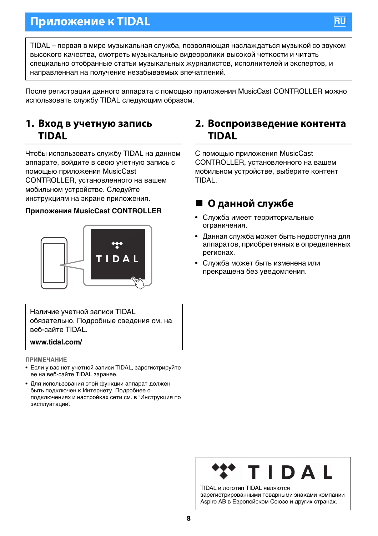### **Приложение к TIDAL**

TIDAL – первая в мире музыкальная служба, позволяющая наслаждаться музыкой со звуком высокого качества, смотреть музыкальные видеоролики высокой четкости и читать специально отобранные статьи музыкальных журналистов, исполнителей и экспертов, и направленная на получение незабываемых впечатлений.

После регистрации данного аппарата с помощью приложения MusicCast CONTROLLER можно использовать службу TIDAL следующим образом.

#### **1. Вход в учетную запись TIDAL**

Чтобы использовать службу TIDAL на данном аппарате, войдите в свою учетную запись с помощью приложения MusicCast CONTROLLER, установленного на вашем мобильном устройстве. Следуйте инструкциям на экране приложения.

#### **Приложения MusicCast CONTROLLER**



Наличие учетной записи TIDAL обязательно. Подробные сведения см. на веб-сайте TIDAL.

#### **www.tidal.com/**

**ПРИМЕЧАНИЕ**

- Если у вас нет учетной записи TIDAL, зарегистрируйте ее на веб-сайте TIDAL заранее.
- Для использования этой функции аппарат должен быть подключен к Интернету. Подробнее о подключениях и настройках сети см. в "Инструкция по эксплуатации".

#### **2. Воспроизведение контента TIDAL**

С помощью приложения MusicCast CONTROLLER, установленного на вашем мобильном устройстве, выберите контент TIDAL.

#### **О данной службе**

- Служба имеет территориальные ограничения.
- Данная служба может быть недоступна для аппаратов, приобретенных в определенных регионах.
- Служба может быть изменена или прекращена без уведомления.

# DAI

TIDAL и логотип TIDAL являются зарегистрированными товарными знаками компании Aspiro AB в Европейском Союзе и других странах.